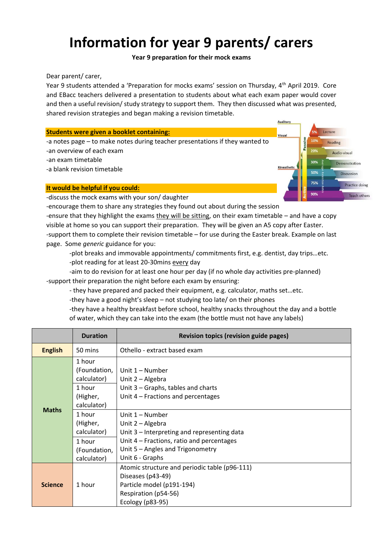# **Information for year 9 parents/ carers**

## **Year 9 preparation for their mock exams**

Dear parent/ carer,

Year 9 students attended a 'Preparation for mocks exams' session on Thursday, 4th April 2019. Core and EBacc teachers delivered a presentation to students about what each exam paper would cover and then a useful revision/ study strategy to support them. They then discussed what was presented, shared revision strategies and began making a revision timetable.

Auditory

Visual

Kinesthetic

Passive

30%

50%

75%

90%

Lecture

Reading

Audio-visual

Demonstration

**Discussion** 

Practice doing

Teach others

#### **Students were given a booklet containing:**

-a notes page – to make notes during teacher presentations if they wanted to -an overview of each exam

-an exam timetable

-a blank revision timetable

# **It would be helpful if you could:**

-discuss the mock exams with your son/ daughter

-encourage them to share any strategies they found out about during the session -ensure that they highlight the exams they will be sitting, on their exam timetable – and have a copy visible at home so you can support their preparation. They will be given an A5 copy after Easter. -support them to complete their revision timetable – for use during the Easter break. Example on last page. Some *generic* guidance for you:

-plot breaks and immovable appointments/ commitments first, e.g. dentist, day trips…etc.

-plot reading for at least 20-30mins every day

-aim to do revision for at least one hour per day (if no whole day activities pre-planned) -support their preparation the night before each exam by ensuring:

- they have prepared and packed their equipment, e.g. calculator, maths set…etc.

-they have a good night's sleep – not studying too late/ on their phones

-they have a healthy breakfast before school, healthy snacks throughout the day and a bottle of water, which they can take into the exam (the bottle must not have any labels)

|                | <b>Duration</b>                                                                                                 | <b>Revision topics (revision guide pages)</b>                                                                                                                                                             |
|----------------|-----------------------------------------------------------------------------------------------------------------|-----------------------------------------------------------------------------------------------------------------------------------------------------------------------------------------------------------|
| <b>English</b> | 50 mins                                                                                                         | Othello - extract based exam                                                                                                                                                                              |
| <b>Maths</b>   | 1 hour<br>(Foundation,<br>calculator)<br>1 hour<br>(Higher,<br>calculator)<br>1 hour<br>(Higher,<br>calculator) | Unit 1 – Number<br>Unit 2 - Algebra<br>Unit $3$ – Graphs, tables and charts<br>Unit $4$ – Fractions and percentages<br>Unit 1 – Number<br>Unit 2 - Algebra<br>Unit 3 – Interpreting and representing data |
|                | 1 hour<br>(Foundation,<br>calculator)                                                                           | Unit $4$ – Fractions, ratio and percentages<br>Unit 5 - Angles and Trigonometry<br>Unit 6 - Graphs                                                                                                        |
| <b>Science</b> | 1 hour                                                                                                          | Atomic structure and periodic table (p96-111)<br>Diseases (p43-49)<br>Particle model (p191-194)<br>Respiration (p54-56)<br>Ecology (p83-95)                                                               |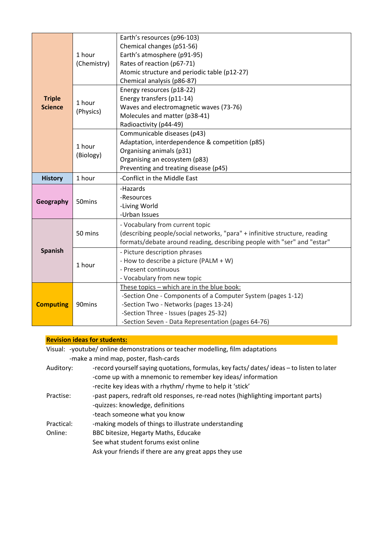| <b>Triple</b><br><b>Science</b> | 1 hour<br>(Chemistry) | Earth's resources (p96-103)<br>Chemical changes (p51-56)<br>Earth's atmosphere (p91-95)<br>Rates of reaction (p67-71)<br>Atomic structure and periodic table (p12-27)<br>Chemical analysis (p86-87)                                               |
|---------------------------------|-----------------------|---------------------------------------------------------------------------------------------------------------------------------------------------------------------------------------------------------------------------------------------------|
|                                 | 1 hour<br>(Physics)   | Energy resources (p18-22)<br>Energy transfers (p11-14)<br>Waves and electromagnetic waves (73-76)<br>Molecules and matter (p38-41)<br>Radioactivity (p44-49)                                                                                      |
|                                 | 1 hour<br>(Biology)   | Communicable diseases (p43)<br>Adaptation, interdependence & competition (p85)<br>Organising animals (p31)<br>Organising an ecosystem (p83)<br>Preventing and treating disease (p45)                                                              |
| <b>History</b>                  | 1 hour                | -Conflict in the Middle East                                                                                                                                                                                                                      |
| Geography                       | 50mins                | -Hazards<br>-Resources<br>-Living World<br>-Urban Issues                                                                                                                                                                                          |
|                                 | 50 mins               | - Vocabulary from current topic<br>(describing people/social networks, "para" + infinitive structure, reading<br>formats/debate around reading, describing people with "ser" and "estar"                                                          |
| <b>Spanish</b>                  | 1 hour                | - Picture description phrases<br>- How to describe a picture (PALM + W)<br>- Present continuous<br>- Vocabulary from new topic                                                                                                                    |
| <b>Computing</b>                | 90 <sub>mins</sub>    | These topics - which are in the blue book:<br>-Section One - Components of a Computer System (pages 1-12)<br>-Section Two - Networks (pages 13-24)<br>-Section Three - Issues (pages 25-32)<br>-Section Seven - Data Representation (pages 64-76) |

## **Revision ideas for students:**

Visual: -youtube/ online demonstrations or teacher modelling, film adaptations -make a mind map, poster, flash-cards

Auditory: - record yourself saying quotations, formulas, key facts/ dates/ ideas - to listen to later -come up with a mnemonic to remember key ideas/ information -recite key ideas with a rhythm/ rhyme to help it 'stick' Practise: - past papers, redraft old responses, re-read notes (highlighting important parts) -quizzes: knowledge, definitions -teach someone what you know Practical: - making models of things to illustrate understanding Online: BBC bitesize, Hegarty Maths, Educake See what student forums exist online Ask your friends if there are any great apps they use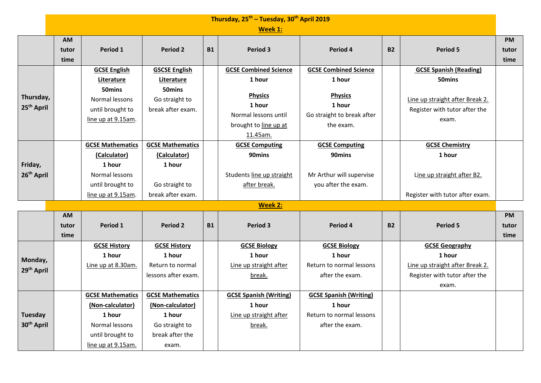|                                          | Thursday, 25 <sup>th</sup> - Tuesday, 30 <sup>th</sup> April 2019 |                                                                                                                     |                                                                                                     |           |                                                                                                                                 |                                                                                                               |           |                                                                                                                      |                            |  |
|------------------------------------------|-------------------------------------------------------------------|---------------------------------------------------------------------------------------------------------------------|-----------------------------------------------------------------------------------------------------|-----------|---------------------------------------------------------------------------------------------------------------------------------|---------------------------------------------------------------------------------------------------------------|-----------|----------------------------------------------------------------------------------------------------------------------|----------------------------|--|
|                                          | Week 1:                                                           |                                                                                                                     |                                                                                                     |           |                                                                                                                                 |                                                                                                               |           |                                                                                                                      |                            |  |
|                                          | <b>AM</b><br>tutor<br>time                                        | Period 1                                                                                                            | <b>Period 2</b>                                                                                     | <b>B1</b> | Period 3                                                                                                                        | Period 4                                                                                                      | <b>B2</b> | Period 5                                                                                                             | <b>PM</b><br>tutor<br>time |  |
| Thursday,<br>25 <sup>th</sup> April      |                                                                   | <b>GCSE English</b><br>Literature<br>50 <sub>mins</sub><br>Normal lessons<br>until brought to<br>line up at 9.15am. | <b>GSCSE English</b><br>Literature<br>50 <sub>mins</sub><br>Go straight to<br>break after exam.     |           | <b>GCSE Combined Science</b><br>1 hour<br><b>Physics</b><br>1 hour<br>Normal lessons until<br>brought to line up at<br>11.45am. | <b>GCSE Combined Science</b><br>1 hour<br><b>Physics</b><br>1 hour<br>Go straight to break after<br>the exam. |           | <b>GCSE Spanish (Reading)</b><br>50mins<br>Line up straight after Break 2.<br>Register with tutor after the<br>exam. |                            |  |
| Friday,<br>26 <sup>th</sup> April        |                                                                   | <b>GCSE Mathematics</b><br>(Calculator)<br>1 hour<br>Normal lessons<br>until brought to<br>line up at 9.15am.       | <b>GCSE Mathematics</b><br>(Calculator)<br>1 hour<br>Go straight to<br>break after exam.            |           | <b>GCSE Computing</b><br>90mins<br>Students line up straight<br>after break.                                                    | <b>GCSE Computing</b><br>90mins<br>Mr Arthur will supervise<br>you after the exam.                            |           | <b>GCSE Chemistry</b><br>1 hour<br>Line up straight after B2.<br>Register with tutor after exam.                     |                            |  |
|                                          |                                                                   |                                                                                                                     |                                                                                                     |           | Week 2:                                                                                                                         |                                                                                                               |           |                                                                                                                      |                            |  |
|                                          | <b>AM</b><br>tutor<br>time                                        | Period 1                                                                                                            | <b>Period 2</b>                                                                                     | <b>B1</b> | Period 3                                                                                                                        | Period 4                                                                                                      | <b>B2</b> | <b>Period 5</b>                                                                                                      | PM<br>tutor<br>time        |  |
| Monday,<br>29 <sup>th</sup> April        |                                                                   | <b>GCSE History</b><br>1 hour<br>Line up at 8.30am.                                                                 | <b>GCSE History</b><br>1 hour<br>Return to normal<br>lessons after exam.                            |           | <b>GCSE Biology</b><br>1 hour<br>Line up straight after<br>break.                                                               | <b>GCSE Biology</b><br>1 hour<br>Return to normal lessons<br>after the exam.                                  |           | <b>GCSE Geography</b><br>1 hour<br>Line up straight after Break 2.<br>Register with tutor after the<br>exam.         |                            |  |
| <b>Tuesday</b><br>30 <sup>th</sup> April |                                                                   | <b>GCSE Mathematics</b><br>(Non-calculator)<br>1 hour<br>Normal lessons<br>until brought to<br>line up at 9.15am.   | <b>GCSE Mathematics</b><br>(Non-calculator)<br>1 hour<br>Go straight to<br>break after the<br>exam. |           | <b>GCSE Spanish (Writing)</b><br>1 hour<br>Line up straight after<br>break.                                                     | <b>GCSE Spanish (Writing)</b><br>1 hour<br>Return to normal lessons<br>after the exam.                        |           |                                                                                                                      |                            |  |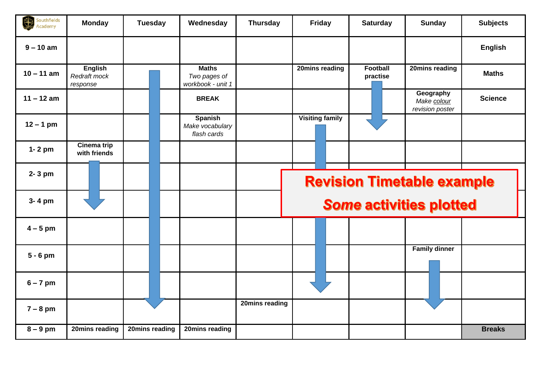| Southfields<br>\$<br>Academy | <b>Monday</b>                              | <b>Tuesday</b> | Wednesday                                         | <b>Thursday</b> | Friday                         | <b>Saturday</b>                   | <b>Sunday</b>                               | <b>Subjects</b> |  |
|------------------------------|--------------------------------------------|----------------|---------------------------------------------------|-----------------|--------------------------------|-----------------------------------|---------------------------------------------|-----------------|--|
| $9 - 10$ am                  |                                            |                |                                                   |                 |                                |                                   |                                             | <b>English</b>  |  |
| $10 - 11$ am                 | <b>English</b><br>Redraft mock<br>response |                | <b>Maths</b><br>Two pages of<br>workbook - unit 1 |                 | 20mins reading                 | <b>Football</b><br>practise       | 20mins reading                              | <b>Maths</b>    |  |
| $11 - 12$ am                 |                                            |                | <b>BREAK</b>                                      |                 |                                |                                   | Geography<br>Make colour<br>revision poster | <b>Science</b>  |  |
| $12 - 1$ pm                  |                                            |                | <b>Spanish</b><br>Make vocabulary<br>flash cards  |                 | <b>Visiting family</b>         |                                   |                                             |                 |  |
| $1 - 2$ pm                   | Cinema trip<br>with friends                |                |                                                   |                 |                                |                                   |                                             |                 |  |
| 2-3 pm                       |                                            |                |                                                   |                 |                                | <b>Revision Timetable example</b> |                                             |                 |  |
| 3-4 pm                       |                                            |                |                                                   |                 | <b>Some activities plotted</b> |                                   |                                             |                 |  |
| $4-5$ pm                     |                                            |                |                                                   |                 |                                |                                   |                                             |                 |  |
| $5 - 6$ pm                   |                                            |                |                                                   |                 |                                |                                   | <b>Family dinner</b>                        |                 |  |
| $6 - 7$ pm                   |                                            |                |                                                   |                 |                                |                                   |                                             |                 |  |
| $7 - 8$ pm                   |                                            |                |                                                   | 20mins reading  |                                |                                   |                                             |                 |  |
| $8 - 9$ pm                   | 20mins reading                             | 20mins reading | 20mins reading                                    |                 |                                |                                   |                                             | <b>Breaks</b>   |  |